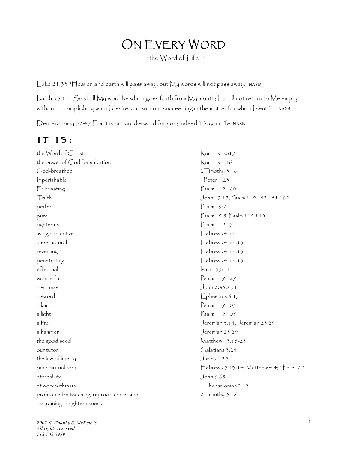## ON EVERY WORD

 $\sim$  the Word of  $|$  ife  $\sim$  $\mathcal{L}=\mathcal{L}=\mathcal{L}=\mathcal{L}=\mathcal{L}=\mathcal{L}=\mathcal{L}=\mathcal{L}=\mathcal{L}=\mathcal{L}=\mathcal{L}=\mathcal{L}=\mathcal{L}=\mathcal{L}=\mathcal{L}=\mathcal{L}=\mathcal{L}=\mathcal{L}=\mathcal{L}=\mathcal{L}=\mathcal{L}=\mathcal{L}=\mathcal{L}=\mathcal{L}=\mathcal{L}=\mathcal{L}=\mathcal{L}=\mathcal{L}=\mathcal{L}=\mathcal{L}=\mathcal{L}=\mathcal{L}=\mathcal{L}=\mathcal{L}=\mathcal{L}=\mathcal{L}=\mathcal{$ 

Luke 21:33 "Heaven and earth will pass away, but My words will not pass away." NASB

Isaiah 55:11 "So shall My word be which goes forth from My mouth; It shall not return to Me empty, without accomplishing what | desire, and without succeeding in the matter for which | sent it." NASB

Deuteronomy 32:47 For it is not an idle word for you; indeed it is your life. NASB

## It is:

the Word of Christ Romans 10:17 the power of God for salvation  $R$ omans 1:16 God-breathed 2Timothy 3:16 Imperishable 1Peter 1:23 Everlasting Psalm 119:160 Truth John 17:17; Psalm 119:142,151,160 perfect Psalm 19:7 pure Psalm 19:8, Psalm 119:140 righteous Psalm 119:172  $living$  and active  $\Box$ supernatural descriptions of the supernatural density of the Hebrews 4:12-13 revealing  $\qquad \qquad$  Hebrews 4:12-13 penetrating Febrews 4:12-13 effectual saiah 55:11 wonderful<br>
Psalm 119:129 a witness John 20:30-31 a sword example  $\Box$  phesians 6:17  $a$  lamp  $\Box$  Psalm 119:105 a light Psalm 119:105 a fire Jeremiah 5:14, Jeremiah 23:29 a hammer Jeremiah 23:29 the good seed Matthew 13:18-23 our tutor Galatians 3:24 the law of liberty **State of the law** of liberty eternal life John 6:68 at work within us and the state of the state of the state of the state of the state of the state of the state o profitable for teaching, reproof, correction,  $2T$ imothy 3:16 & training in righteousness

our spiritual food Hebrews 5:13-14; Matthew 4:4; 1Peter 2:2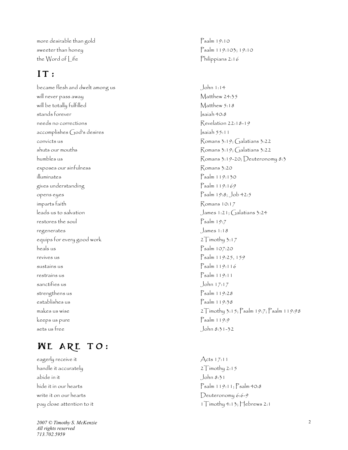more desirable than gold Psalm 19:10 sweeter than honey example 2 and the property parameter  $\beta$  and 119:103; 19:10 the Word of Life **Philippians 2:16** 

## IT:

became flesh and dwelt among us John 1:14 will never pass away **Matthew 24:35** will be totally fulfilled Matthew 5:18 stands forever Isaiah 40:8 needs no corrections accomplishes God's desires Isaiah 55:11  $R$ onvicts us  $\alpha$ <sup>3:19</sup>;  $\alpha$ alatians 3:22 shuts our mouths **Example 2:22** Romans 3:19; Galatians 3:22 exposes our sinfulness research and the second series of Romans 3:20 illuminates Psalm 119:130 gives understanding Psalm 119:169 opens eyes Psalm 19:8; Job 42:5 imparts faith Romans 10:17 leads us to salvation James 1:21; Galatians 3:24 restores the soul Psalm 19:7 regenerates James 1:18 equips for every good work 2Timothy 3:17 heals us Psalm 107:20 revives us Psalm 119:25, 159 sustains us Psalm 119:116 restrains us Psalm 119:11 sanctifies us John 17:17 strengthens us Psalm 119:28 establishes us Psalm 119:38 keeps us pure Psalm 119:9 sets us free John 8:31 -32

## **WE ARE TO:**

eagerly receive it Acts 17:11 handle it accurately  $2T$ imothy 2:15 abide in it John 8:31 write it on our hearts Deuteronomy 6:6 - 9

*2007 © Timothy S. McKenzie All rights reserved 713.702.5959*

Revelation 22:18-19 humbles us Romans 3:19 -20; Deuteronomy 8:3 makes us wise  $2T$ imothy 3:15; Psalm 19:7; Psalm 119:98

hide it in our hearts Psalm 119:11; Psalm 40:8 pay close attention to it  $1\overline{1}$  imothy 4:13; Hebrews 2:1